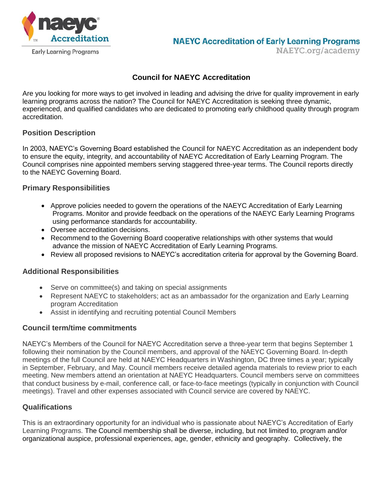

## **Council for NAEYC Accreditation**

Are you looking for more ways to get involved in leading and advising the drive for quality improvement in early learning programs across the nation? The Council for NAEYC Accreditation is seeking three dynamic, experienced, and qualified candidates who are dedicated to promoting early childhood quality through program accreditation.

#### **Position Description**

In 2003, NAEYC's Governing Board established the Council for NAEYC Accreditation as an independent body to ensure the equity, integrity, and accountability of NAEYC Accreditation of Early Learning Program. The Council comprises nine appointed members serving staggered three-year terms. The Council reports directly to the NAEYC Governing Board.

### **Primary Responsibilities**

- Approve policies needed to govern the operations of the NAEYC Accreditation of Early Learning Programs. Monitor and provide feedback on the operations of the NAEYC Early Learning Programs using performance standards for accountability.
- Oversee accreditation decisions.
- Recommend to the Governing Board cooperative relationships with other systems that would advance the mission of NAEYC Accreditation of Early Learning Programs.
- Review all proposed revisions to NAEYC's accreditation criteria for approval by the Governing Board.

# **Additional Responsibilities**

- Serve on committee(s) and taking on special assignments
- Represent NAEYC to stakeholders; act as an ambassador for the organization and Early Learning program Accreditation
- Assist in identifying and recruiting potential Council Members

#### **Council term/time commitments**

NAEYC's Members of the Council for NAEYC Accreditation serve a three-year term that begins September 1 following their nomination by the Council members, and approval of the NAEYC Governing Board. In-depth meetings of the full Council are held at NAEYC Headquarters in Washington, DC three times a year; typically in September, February, and May. Council members receive detailed agenda materials to review prior to each meeting. New members attend an orientation at NAEYC Headquarters. Council members serve on committees that conduct business by e-mail, conference call, or face-to-face meetings (typically in conjunction with Council meetings). Travel and other expenses associated with Council service are covered by NAEYC.

# **Qualifications**

This is an extraordinary opportunity for an individual who is passionate about NAEYC's Accreditation of Early Learning Programs. The Council membership shall be diverse, including, but not limited to, program and/or organizational auspice, professional experiences, age, gender, ethnicity and geography. Collectively, the